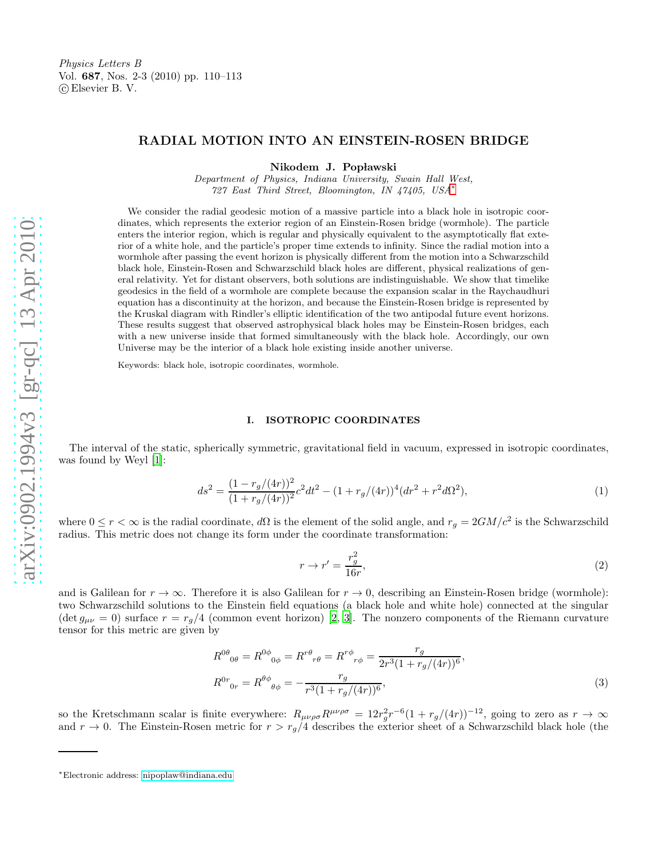# RADIAL MOTION INTO AN EINSTEIN-ROSEN BRIDGE

Nikodem J. Popławski

Department of Physics, Indiana University, Swain Hall West , 727 East Third Street, Bloomington, IN 47405, USA [∗](#page-0-0)

We consider the radial geodesic motion of a massive particle into a black hole in isotropic coordinates, which represents the exterior region of an Einstein-Rosen bridge (wormhole). The particle enters the interior region, which is regular and physically equivalent to the asymptotically flat exterior of a white hole, and the particle's proper time extends to infinity. Since the radial motion into a wormhole after passing the event horizon is physically different from the motion into a Schwarzschild black hole, Einstein-Rosen and Schwarzschild black holes are different, physical realizations of general relativity. Yet for distant observers, both solutions are indistinguishable. We show that timelike geodesics in the field of a wormhole are complete because the expansion scalar in the Raychaudhuri equation has a discontinuity at the horizon, and because the Einstein-Rosen bridge is represented by the Kruskal diagram with Rindler's elliptic identification of the two antipodal future event horizons. These results suggest that observed astrophysical black holes may be Einstein-Rosen bridges, each with a new universe inside that formed simultaneously with the black hole. Accordingly, our own Universe may be the interior of a black hole existing inside another universe.

Keywords: black hole, isotropic coordinates, wormhole.

#### I. ISOTROPIC COORDINATES

The interval of the static, spherically symmetric, gravitational field in vacuum, expressed in isotropic coordinates, was found by Weyl [\[1\]](#page-5-0):

<span id="page-0-1"></span>
$$
ds^{2} = \frac{(1 - r_g/(4r))^{2}}{(1 + r_g/(4r))^{2}}c^{2}dt^{2} - (1 + r_g/(4r))^{4}(dr^{2} + r^{2}d\Omega^{2}),
$$
\n(1)

where  $0 \le r < \infty$  is the radial coordinate,  $d\Omega$  is the element of the solid angle, and  $r_g = 2GM/c^2$  is the Schwarzschild radius. This metric does not change its form under the coordinate transformation:

<span id="page-0-2"></span>
$$
r \to r' = \frac{r_g^2}{16r},\tag{2}
$$

and is Galilean for  $r \to \infty$ . Therefore it is also Galilean for  $r \to 0$ , describing an Einstein-Rosen bridge (wormhole): two Schwarzschild solutions to the Einstein field equations (a black hole and white hole) connected at the singular  $(\det g_{\mu\nu}=0)$  surface  $r=r_g/4$  (common event horizon) [\[2](#page-5-1), [3\]](#page-5-2). The nonzero components of the Riemann curvature tensor for this metric are given by

$$
R^{0\theta}_{\quad 0\theta} = R^{0\phi}_{\quad 0\phi} = R^{r\theta}_{\quad r\theta} = R^{r\phi}_{\quad r\phi} = \frac{r_g}{2r^3(1 + r_g/(4r))^6},
$$
  
\n
$$
R^{0r}_{\quad 0r} = R^{\theta\phi}_{\quad \theta\phi} = -\frac{r_g}{r^3(1 + r_g/(4r))^6},
$$
\n(3)

so the Kretschmann scalar is finite everywhere:  $R_{\mu\nu\rho\sigma}R^{\mu\nu\rho\sigma} = 12r_g^2r^{-6}(1+r_g/(4r))^{-12}$ , going to zero as  $r \to \infty$ and  $r \to 0$ . The Einstein-Rosen metric for  $r > r_g/4$  describes the exterior sheet of a Schwarzschild black hole (the

<span id="page-0-0"></span><sup>∗</sup>Electronic address: [nipoplaw@indiana.edu](mailto:nipoplaw@indiana.edu)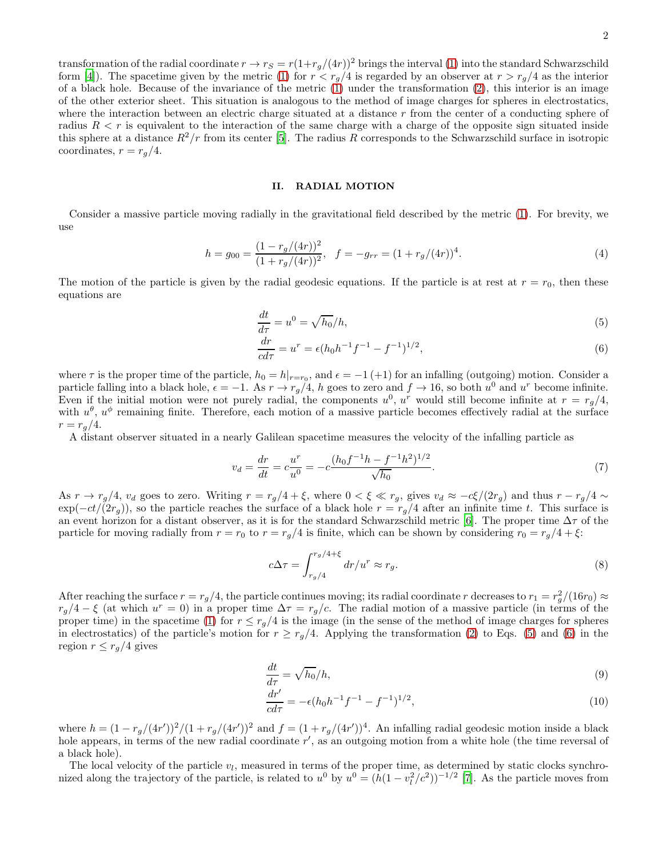transformation of the radial coordinate  $r \to r_S = r(1+r_g/(4r))^2$  brings the interval [\(1\)](#page-0-1) into the standard Schwarzschild form [\[4\]](#page-5-3)). The spacetime given by the metric [\(1\)](#page-0-1) for  $r < r_g/4$  is regarded by an observer at  $r > r_g/4$  as the interior of a black hole. Because of the invariance of the metric  $(1)$  under the transformation  $(2)$ , this interior is an image of the other exterior sheet. This situation is analogous to the method of image charges for spheres in electrostatics, where the interaction between an electric charge situated at a distance r from the center of a conducting sphere of radius  $R < r$  is equivalent to the interaction of the same charge with a charge of the opposite sign situated inside this sphere at a distance  $R^2/r$  from its center [\[5\]](#page-5-4). The radius R corresponds to the Schwarzschild surface in isotropic coordinates,  $r = r_q/4$ .

## II. RADIAL MOTION

Consider a massive particle moving radially in the gravitational field described by the metric [\(1\)](#page-0-1). For brevity, we use

$$
h = g_{00} = \frac{(1 - r_g/(4r))^2}{(1 + r_g/(4r))^2}, \quad f = -g_{rr} = (1 + r_g/(4r))^4.
$$
 (4)

The motion of the particle is given by the radial geodesic equations. If the particle is at rest at  $r = r_0$ , then these equations are

<span id="page-1-0"></span>
$$
\frac{dt}{d\tau} = u^0 = \sqrt{h_0}/h,\tag{5}
$$

$$
\frac{dr}{cd\tau} = u^r = \epsilon (h_0 h^{-1} f^{-1} - f^{-1})^{1/2},\tag{6}
$$

where  $\tau$  is the proper time of the particle,  $h_0 = h|_{r=r_0}$ , and  $\epsilon = -1$  (+1) for an infalling (outgoing) motion. Consider a particle falling into a black hole,  $\epsilon = -1$ . As  $r \to r_g/4$ , h goes to zero and  $f \to 16$ , so both  $u^0$  and  $u^r$  become infinite. Even if the initial motion were not purely radial, the components  $u^0$ ,  $u^r$  would still become infinite at  $r = r_g/4$ , with  $u^{\theta}$ ,  $u^{\phi}$  remaining finite. Therefore, each motion of a massive particle becomes effectively radial at the surface  $r = r_a/4.$ 

A distant observer situated in a nearly Galilean spacetime measures the velocity of the infalling particle as

<span id="page-1-1"></span>
$$
v_d = \frac{dr}{dt} = c \frac{u^r}{u^0} = -c \frac{(h_0 f^{-1} h - f^{-1} h^2)^{1/2}}{\sqrt{h_0}}.
$$
\n<sup>(7)</sup>

As  $r \to r_g/4$ ,  $v_d$  goes to zero. Writing  $r = r_g/4 + \xi$ , where  $0 < \xi \ll r_g$ , gives  $v_d \approx -c\xi/(2r_g)$  and thus  $r - r_g/4 \sim$  $\exp(-ct/(2r_g))$ , so the particle reaches the surface of a black hole  $r = r_g/4$  after an infinite time t. This surface is an event horizon for a distant observer, as it is for the standard Schwarzschild metric [\[6](#page-5-5)]. The proper time  $\Delta \tau$  of the particle for moving radially from  $r = r_0$  to  $r = r_q/4$  is finite, which can be shown by considering  $r_0 = r_q/4 + \xi$ :

$$
c\Delta \tau = \int_{r_g/4}^{r_g/4+\xi} dr/u^r \approx r_g. \tag{8}
$$

After reaching the surface  $r = r_g/4$ , the particle continues moving; its radial coordinate r decreases to  $r_1 = r_g^2/(16r_0) \approx$  $r_g/4-\xi$  (at which  $u^r=0$ ) in a proper time  $\Delta \tau = r_g/c$ . The radial motion of a massive particle (in terms of the proper time) in the spacetime [\(1\)](#page-0-1) for  $r \leq r_q/4$  is the image (in the sense of the method of image charges for spheres in electrostatics) of the particle's motion for  $r \geq r_q/4$ . Applying the transformation [\(2\)](#page-0-2) to Eqs. [\(5\)](#page-1-0) and [\(6\)](#page-1-0) in the region  $r \leq r_q/4$  gives

$$
\frac{dt}{d\tau} = \sqrt{h_0}/h,\tag{9}
$$

$$
\frac{dr'}{cd\tau} = -\epsilon (h_0 h^{-1} f^{-1} - f^{-1})^{1/2},\tag{10}
$$

where  $h = (1 - r_g/(4r'))^2/(1 + r_g/(4r'))^2$  and  $f = (1 + r_g/(4r'))^4$ . An infalling radial geodesic motion inside a black hole appears, in terms of the new radial coordinate r', as an outgoing motion from a white hole (the time reversal of a black hole).

The local velocity of the particle  $v_l$ , measured in terms of the proper time, as determined by static clocks synchronized along the trajectory of the particle, is related to  $u^0$  by  $u^0 = (h(1 - v_l^2/c^2))^{-1/2}$  [\[7\]](#page-5-6). As the particle moves from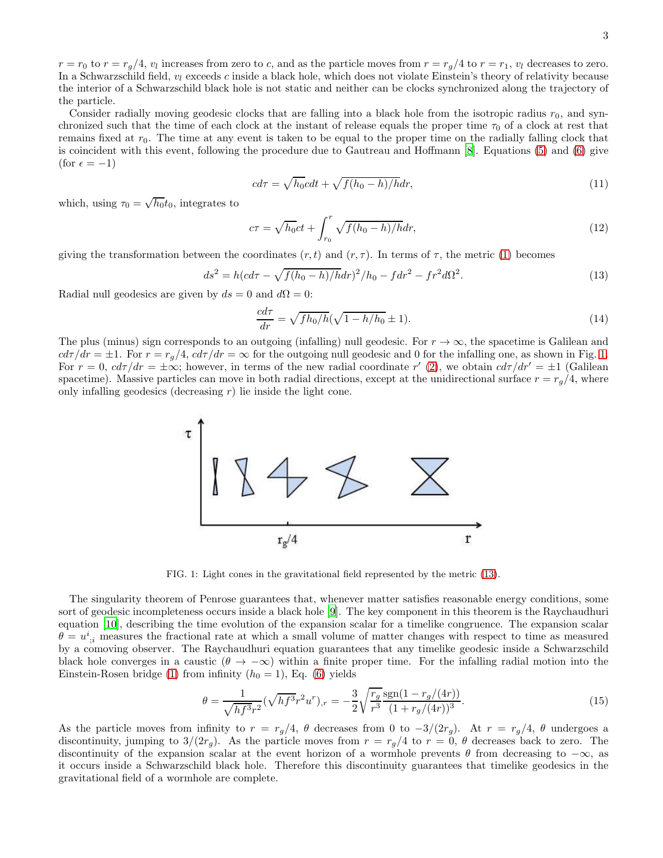the interior of a Schwarzschild black hole is not static and neither can be clocks synchronized along the trajectory of the particle. Consider radially moving geodesic clocks that are falling into a black hole from the isotropic radius  $r_0$ , and synchronized such that the time of each clock at the instant of release equals the proper time  $\tau_0$  of a clock at rest that remains fixed at  $r_0$ . The time at any event is taken to be equal to the proper time on the radially falling clock that is coincident with this event, following the procedure due to Gautreau and Hoffmann [\[8\]](#page-5-7). Equations [\(5\)](#page-1-0) and [\(6\)](#page-1-0) give

In a Schwarzschild field,  $v_l$  exceeds c inside a black hole, which does not violate Einstein's theory of relativity because

$$
cd\tau = \sqrt{h_0}cdt + \sqrt{f(h_0 - h)/h}dr,\tag{11}
$$

which, using  $\tau_0 = \sqrt{h_0} t_0$ , integrates to

(for  $\epsilon = -1$ )

$$
c\tau = \sqrt{h_0}ct + \int_{r_0}^r \sqrt{f(h_0 - h)/h}dr,\tag{12}
$$

giving the transformation between the coordinates  $(r, t)$  and  $(r, \tau)$ . In terms of  $\tau$ , the metric [\(1\)](#page-0-1) becomes

<span id="page-2-1"></span>
$$
ds^{2} = h(cd\tau - \sqrt{f(h_{0} - h)/h}dr)^{2}/h_{0} - fdr^{2} - fr^{2}d\Omega^{2}.
$$
\n(13)

Radial null geodesics are given by  $ds = 0$  and  $d\Omega = 0$ :

$$
\frac{cd\tau}{dr} = \sqrt{fh_0/h}(\sqrt{1-h/h_0} \pm 1). \tag{14}
$$

The plus (minus) sign corresponds to an outgoing (infalling) null geodesic. For  $r \to \infty$ , the spacetime is Galilean and  $c d\tau / dr = \pm 1$ . For  $r = r_g/4$ ,  $c d\tau / dr = \infty$  for the outgoing null geodesic and 0 for the infalling one, as shown in Fig. [1.](#page-2-0) For  $r = 0$ ,  $c d\tau/dr = \pm \infty$ ; however, in terms of the new radial coordinate  $r'(2)$  $r'(2)$ , we obtain  $c d\tau/dr' = \pm 1$  (Galilean spacetime). Massive particles can move in both radial directions, except at the unidirectional surface  $r = r_g/4$ , where only infalling geodesics (decreasing  $r$ ) lie inside the light cone.



<span id="page-2-0"></span>FIG. 1: Light cones in the gravitational field represented by the metric [\(13\)](#page-2-1).

The singularity theorem of Penrose guarantees that, whenever matter satisfies reasonable energy conditions, some sort of geodesic incompleteness occurs inside a black hole [\[9\]](#page-5-8). The key component in this theorem is the Raychaudhuri equation [\[10\]](#page-5-9), describing the time evolution of the expansion scalar for a timelike congruence. The expansion scalar  $\theta = u^i_{;i}$  measures the fractional rate at which a small volume of matter changes with respect to time as measured by a comoving observer. The Raychaudhuri equation guarantees that any timelike geodesic inside a Schwarzschild black hole converges in a caustic  $(\theta \to -\infty)$  within a finite proper time. For the infalling radial motion into the Einstein-Rosen bridge [\(1\)](#page-0-1) from infinity  $(h_0 = 1)$ , Eq. [\(6\)](#page-1-0) yields

$$
\theta = \frac{1}{\sqrt{hf^3}r^2} (\sqrt{hf^3}r^2u^r)_{,r} = -\frac{3}{2} \sqrt{\frac{r_g}{r^3}} \frac{\text{sgn}(1 - r_g/(4r))}{(1 + r_g/(4r))^3}.
$$
\n(15)

As the particle moves from infinity to  $r = r_g/4$ ,  $\theta$  decreases from 0 to  $-3/(2r_g)$ . At  $r = r_g/4$ ,  $\theta$  undergoes a discontinuity, jumping to  $3/(2r_q)$ . As the particle moves from  $r = r_q/4$  to  $r = 0$ ,  $\theta$  decreases back to zero. The discontinuity of the expansion scalar at the event horizon of a wormhole prevents  $\theta$  from decreasing to  $-\infty$ , as it occurs inside a Schwarzschild black hole. Therefore this discontinuity guarantees that timelike geodesics in the gravitational field of a wormhole are complete.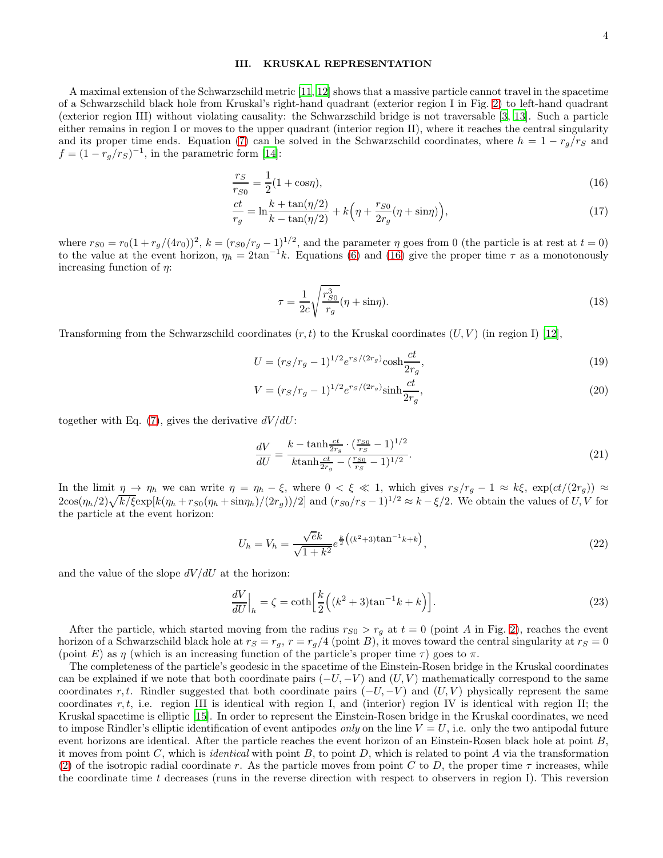### III. KRUSKAL REPRESENTATION

A maximal extension of the Schwarzschild metric [\[11,](#page-5-10) [12\]](#page-5-11) shows that a massive particle cannot travel in the spacetime of a Schwarzschild black hole from Kruskal's right-hand quadrant (exterior region I in Fig. [2\)](#page-4-0) to left-hand quadrant (exterior region III) without violating causality: the Schwarzschild bridge is not traversable [\[3,](#page-5-2) [13](#page-5-12)]. Such a particle either remains in region I or moves to the upper quadrant (interior region II), where it reaches the central singularity and its proper time ends. Equation [\(7\)](#page-1-1) can be solved in the Schwarzschild coordinates, where  $h = 1 - r_g/r_S$  and  $f = (1 - r_g/r_S)^{-1}$ , in the parametric form [\[14\]](#page-5-13):

<span id="page-3-0"></span>
$$
\frac{r_S}{r_{S0}} = \frac{1}{2}(1 + \cos \eta),\tag{16}
$$

$$
\frac{ct}{r_g} = \ln \frac{k + \tan(\eta/2)}{k - \tan(\eta/2)} + k \left( \eta + \frac{r_{S0}}{2r_g} (\eta + \sin \eta) \right),\tag{17}
$$

where  $r_{S0} = r_0(1 + r_g/(4r_0))^2$ ,  $k = (r_{S0}/r_g - 1)^{1/2}$ , and the parameter  $\eta$  goes from 0 (the particle is at rest at  $t = 0$ ) to the value at the event horizon,  $\eta_h = 2 \tan^{-1} k$ . Equations [\(6\)](#page-1-0) and [\(16\)](#page-3-0) give the proper time  $\tau$  as a monotonously increasing function of  $\eta$ :

$$
\tau = \frac{1}{2c} \sqrt{\frac{r_{SO}^3}{r_g}} (\eta + \sin \eta). \tag{18}
$$

Transforming from the Schwarzschild coordinates  $(r, t)$  to the Kruskal coordinates  $(U, V)$  (in region I) [\[12](#page-5-11)],

$$
U = (r_S/r_g - 1)^{1/2} e^{rs/(2r_g)} \cosh \frac{ct}{2r_g},\tag{19}
$$

$$
V = (r_S/r_g - 1)^{1/2} e^{r_S/(2r_g)} \sinh \frac{ct}{2r_g},
$$
\n(20)

together with Eq. [\(7\)](#page-1-1), gives the derivative  $dV/dU$ :

$$
\frac{dV}{dU} = \frac{k - \tanh\frac{ct}{2r_g} \cdot (\frac{r_{S0}}{r_S} - 1)^{1/2}}{k \tanh\frac{ct}{2r_g} - (\frac{r_{S0}}{r_S} - 1)^{1/2}}.
$$
\n(21)

In the limit  $\eta \to \eta_h$  we can write  $\eta = \eta_h - \xi$ , where  $0 < \xi \ll 1$ , which gives  $r_S/r_g - 1 \approx k\xi$ ,  $\exp(ct/(2r_g)) \approx$  $2\cos(\eta_h/2)\sqrt{k/\xi}\exp[k(\eta_h + r_{S0}(\eta_h + \sin\eta_h)/(2r_g))/2]$  and  $(r_{S0}/r_S - 1)^{1/2} \approx k - \xi/2$ . We obtain the values of U, V for the particle at the event horizon:

$$
U_h = V_h = \frac{\sqrt{e}k}{\sqrt{1+k^2}} e^{\frac{k}{2} \left( (k^2 + 3)\tan^{-1} k + k \right)},\tag{22}
$$

and the value of the slope  $dV/dU$  at the horizon:

$$
\left. \frac{dV}{dU} \right|_{h} = \zeta = \coth\left[\frac{k}{2}\left((k^2 + 3)\tan^{-1}k + k\right)\right].\tag{23}
$$

After the particle, which started moving from the radius  $r_{S0} > r_g$  at  $t = 0$  (point A in Fig. [2\)](#page-4-0), reaches the event horizon of a Schwarzschild black hole at  $r_S = r_g$ ,  $r = r_g/4$  (point B), it moves toward the central singularity at  $r_S = 0$ (point E) as  $\eta$  (which is an increasing function of the particle's proper time  $\tau$ ) goes to  $\pi$ .

The completeness of the particle's geodesic in the spacetime of the Einstein-Rosen bridge in the Kruskal coordinates can be explained if we note that both coordinate pairs  $(-U, -V)$  and  $(U, V)$  mathematically correspond to the same coordinates r, t. Rindler suggested that both coordinate pairs  $(-U, -V)$  and  $(U, V)$  physically represent the same coordinates r, t, i.e. region III is identical with region I, and (interior) region IV is identical with region II; the Kruskal spacetime is elliptic [\[15\]](#page-6-0). In order to represent the Einstein-Rosen bridge in the Kruskal coordinates, we need to impose Rindler's elliptic identification of event antipodes *only* on the line  $V = U$ , i.e. only the two antipodal future event horizons are identical. After the particle reaches the event horizon of an Einstein-Rosen black hole at point B, it moves from point  $C$ , which is *identical* with point  $B$ , to point  $D$ , which is related to point  $A$  via the transformation [\(2\)](#page-0-2) of the isotropic radial coordinate r. As the particle moves from point C to D, the proper time  $\tau$  increases, while the coordinate time t decreases (runs in the reverse direction with respect to observers in region I). This reversion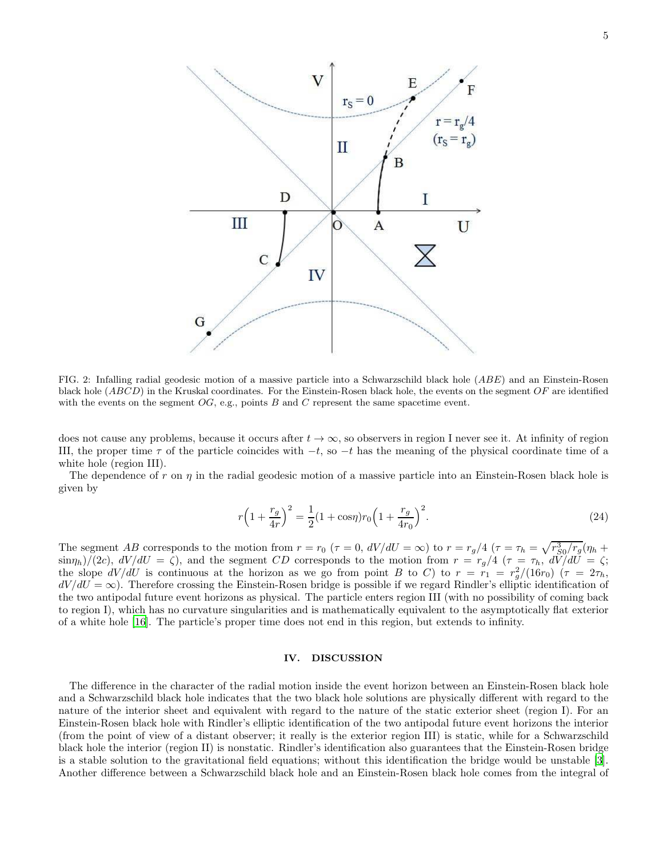

<span id="page-4-0"></span>FIG. 2: Infalling radial geodesic motion of a massive particle into a Schwarzschild black hole (ABE) and an Einstein-Rosen black hole  $(ABCD)$  in the Kruskal coordinates. For the Einstein-Rosen black hole, the events on the segment  $OF$  are identified with the events on the segment  $OG$ , e.g., points B and C represent the same spacetime event.

does not cause any problems, because it occurs after  $t \to \infty$ , so observers in region I never see it. At infinity of region III, the proper time  $\tau$  of the particle coincides with  $-t$ , so  $-t$  has the meaning of the physical coordinate time of a white hole (region III).

The dependence of r on  $\eta$  in the radial geodesic motion of a massive particle into an Einstein-Rosen black hole is given by

$$
r\left(1+\frac{r_g}{4r}\right)^2 = \frac{1}{2}(1+\cos\eta)r_0\left(1+\frac{r_g}{4r_0}\right)^2.
$$
 (24)

The segment AB corresponds to the motion from  $r = r_0$   $(\tau = 0, dV/dU = \infty)$  to  $r = r_g/4$   $(\tau = \tau_h = \sqrt{r_{S0}^3/r_g}(\eta_h + \tau_h = \sqrt{r_{S0}^3/r_g})$  $\sin(\eta_h)/((2c), dV/dU = \zeta)$ , and the segment CD corresponds to the motion from  $r = r_g/4$  ( $\tau = \tau_h$ ,  $dV/dU = \zeta$ ; the slope  $dV/dU$  is continuous at the horizon as we go from point B to C) to  $r = r_1 = r_g^2/(16r_0)$  ( $\tau = 2\tau_h$ ,  $dV/dU = \infty$ ). Therefore crossing the Einstein-Rosen bridge is possible if we regard Rindler's elliptic identification of the two antipodal future event horizons as physical. The particle enters region III (with no possibility of coming back to region I), which has no curvature singularities and is mathematically equivalent to the asymptotically flat exterior of a white hole [\[16\]](#page-6-1). The particle's proper time does not end in this region, but extends to infinity.

#### IV. DISCUSSION

The difference in the character of the radial motion inside the event horizon between an Einstein-Rosen black hole and a Schwarzschild black hole indicates that the two black hole solutions are physically different with regard to the nature of the interior sheet and equivalent with regard to the nature of the static exterior sheet (region I). For an Einstein-Rosen black hole with Rindler's elliptic identification of the two antipodal future event horizons the interior (from the point of view of a distant observer; it really is the exterior region III) is static, while for a Schwarzschild black hole the interior (region II) is nonstatic. Rindler's identification also guarantees that the Einstein-Rosen bridge is a stable solution to the gravitational field equations; without this identification the bridge would be unstable [\[3\]](#page-5-2). Another difference between a Schwarzschild black hole and an Einstein-Rosen black hole comes from the integral of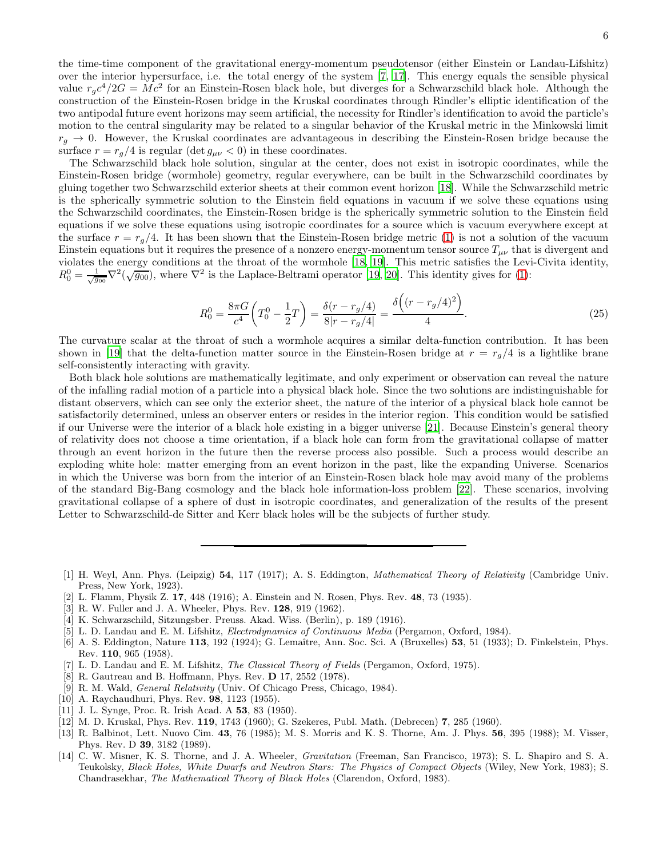the time-time component of the gravitational energy-momentum pseudotensor (either Einstein or Landau-Lifshitz) over the interior hypersurface, i.e. the total energy of the system [\[7,](#page-5-6) [17](#page-6-2)]. This energy equals the sensible physical value  $r_g c^4/2G = Mc^2$  for an Einstein-Rosen black hole, but diverges for a Schwarzschild black hole. Although the construction of the Einstein-Rosen bridge in the Kruskal coordinates through Rindler's elliptic identification of the two antipodal future event horizons may seem artificial, the necessity for Rindler's identification to avoid the particle's motion to the central singularity may be related to a singular behavior of the Kruskal metric in the Minkowski limit  $r_q \rightarrow 0$ . However, the Kruskal coordinates are advantageous in describing the Einstein-Rosen bridge because the surface  $r = r_g/4$  is regular (det  $g_{\mu\nu} < 0$ ) in these coordinates.

The Schwarzschild black hole solution, singular at the center, does not exist in isotropic coordinates, while the Einstein-Rosen bridge (wormhole) geometry, regular everywhere, can be built in the Schwarzschild coordinates by gluing together two Schwarzschild exterior sheets at their common event horizon [\[18\]](#page-6-3). While the Schwarzschild metric is the spherically symmetric solution to the Einstein field equations in vacuum if we solve these equations using the Schwarzschild coordinates, the Einstein-Rosen bridge is the spherically symmetric solution to the Einstein field equations if we solve these equations using isotropic coordinates for a source which is vacuum everywhere except at the surface  $r = r_g/4$ . It has been shown that the Einstein-Rosen bridge metric [\(1\)](#page-0-1) is not a solution of the vacuum Einstein equations but it requires the presence of a nonzero energy-momentum tensor source  $T_{\mu\nu}$  that is divergent and violates the energy conditions at the throat of the wormhole [\[18](#page-6-3), [19\]](#page-6-4). This metric satisfies the Levi-Civita identity,  $R_0^0 = \frac{1}{\sqrt{g_{00}}} \nabla^2(\sqrt{\overline{g_{00}}})$ , where  $\nabla^2$  is the Laplace-Beltrami operator [\[19,](#page-6-4) [20\]](#page-6-5). This identity gives for [\(1\)](#page-0-1):

$$
R_0^0 = \frac{8\pi G}{c^4} \left( T_0^0 - \frac{1}{2} T \right) = \frac{\delta(r - r_g/4)}{8|r - r_g/4|} = \frac{\delta\left( (r - r_g/4)^2 \right)}{4}.
$$
\n(25)

The curvature scalar at the throat of such a wormhole acquires a similar delta-function contribution. It has been shown in [\[19\]](#page-6-4) that the delta-function matter source in the Einstein-Rosen bridge at  $r = r_q/4$  is a lightlike brane self-consistently interacting with gravity.

Both black hole solutions are mathematically legitimate, and only experiment or observation can reveal the nature of the infalling radial motion of a particle into a physical black hole. Since the two solutions are indistinguishable for distant observers, which can see only the exterior sheet, the nature of the interior of a physical black hole cannot be satisfactorily determined, unless an observer enters or resides in the interior region. This condition would be satisfied if our Universe were the interior of a black hole existing in a bigger universe [\[21\]](#page-6-6). Because Einstein's general theory of relativity does not choose a time orientation, if a black hole can form from the gravitational collapse of matter through an event horizon in the future then the reverse process also possible. Such a process would describe an exploding white hole: matter emerging from an event horizon in the past, like the expanding Universe. Scenarios in which the Universe was born from the interior of an Einstein-Rosen black hole may avoid many of the problems of the standard Big-Bang cosmology and the black hole information-loss problem [\[22](#page-6-7)]. These scenarios, involving gravitational collapse of a sphere of dust in isotropic coordinates, and generalization of the results of the present Letter to Schwarzschild-de Sitter and Kerr black holes will be the subjects of further study.

- <span id="page-5-1"></span>[2] L. Flamm, Physik Z. 17, 448 (1916); A. Einstein and N. Rosen, Phys. Rev. 48, 73 (1935).
- <span id="page-5-2"></span>[3] R. W. Fuller and J. A. Wheeler, Phys. Rev. 128, 919 (1962).
- <span id="page-5-3"></span>[4] K. Schwarzschild, Sitzungsber. Preuss. Akad. Wiss. (Berlin), p. 189 (1916).
- <span id="page-5-4"></span>[5] L. D. Landau and E. M. Lifshitz, Electrodynamics of Continuous Media (Pergamon, Oxford, 1984).
- <span id="page-5-5"></span>[6] A. S. Eddington, Nature 113, 192 (1924); G. Lemaître, Ann. Soc. Sci. A (Bruxelles) 53, 51 (1933); D. Finkelstein, Phys. Rev. 110, 965 (1958).
- <span id="page-5-6"></span>L. D. Landau and E. M. Lifshitz, *The Classical Theory of Fields* (Pergamon, Oxford, 1975).
- <span id="page-5-7"></span>[8] R. Gautreau and B. Hoffmann, Phys. Rev. D 17, 2552 (1978).
- <span id="page-5-8"></span>[9] R. M. Wald, General Relativity (Univ. Of Chicago Press, Chicago, 1984).
- <span id="page-5-9"></span>[10] A. Raychaudhuri, Phys. Rev. **98**, 1123 (1955).
- <span id="page-5-10"></span>[11] J. L. Synge, Proc. R. Irish Acad. A 53, 83 (1950).
- <span id="page-5-11"></span>[12] M. D. Kruskal, Phys. Rev. 119, 1743 (1960); G. Szekeres, Publ. Math. (Debrecen) 7, 285 (1960).
- <span id="page-5-12"></span>[13] R. Balbinot, Lett. Nuovo Cim. 43, 76 (1985); M. S. Morris and K. S. Thorne, Am. J. Phys. 56, 395 (1988); M. Visser, Phys. Rev. D 39, 3182 (1989).
- <span id="page-5-13"></span>[14] C. W. Misner, K. S. Thorne, and J. A. Wheeler, Gravitation (Freeman, San Francisco, 1973); S. L. Shapiro and S. A. Teukolsky, Black Holes, White Dwarfs and Neutron Stars: The Physics of Compact Objects (Wiley, New York, 1983); S. Chandrasekhar, The Mathematical Theory of Black Holes (Clarendon, Oxford, 1983).

<span id="page-5-0"></span><sup>[1]</sup> H. Weyl, Ann. Phys. (Leipzig) 54, 117 (1917); A. S. Eddington, Mathematical Theory of Relativity (Cambridge Univ. Press, New York, 1923).